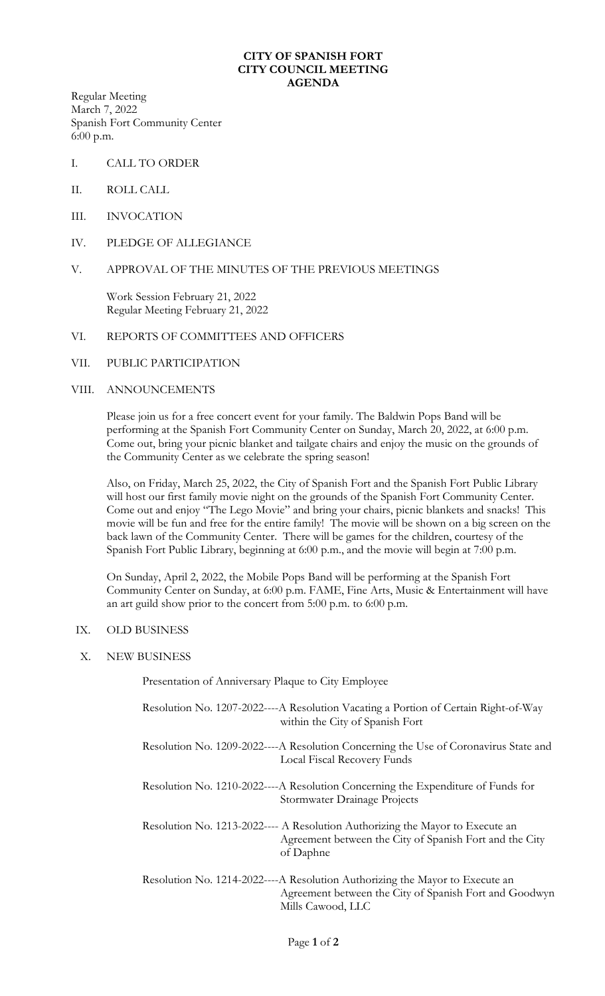## **CITY OF SPANISH FORT CITY COUNCIL MEETING AGENDA**

Regular Meeting March 7, 2022 Spanish Fort Community Center 6:00 p.m.

- I. CALL TO ORDER
- II. ROLL CALL
- III. INVOCATION
- IV. PLEDGE OF ALLEGIANCE
- V. APPROVAL OF THE MINUTES OF THE PREVIOUS MEETINGS

Work Session February 21, 2022 Regular Meeting February 21, 2022

- VI. REPORTS OF COMMITTEES AND OFFICERS
- VII. PUBLIC PARTICIPATION

## VIII. ANNOUNCEMENTS

Please join us for a free concert event for your family. The Baldwin Pops Band will be performing at the Spanish Fort Community Center on Sunday, March 20, 2022, at 6:00 p.m. Come out, bring your picnic blanket and tailgate chairs and enjoy the music on the grounds of the Community Center as we celebrate the spring season!

Also, on Friday, March 25, 2022, the City of Spanish Fort and the Spanish Fort Public Library will host our first family movie night on the grounds of the Spanish Fort Community Center. Come out and enjoy "The Lego Movie" and bring your chairs, picnic blankets and snacks! This movie will be fun and free for the entire family! The movie will be shown on a big screen on the back lawn of the Community Center. There will be games for the children, courtesy of the Spanish Fort Public Library, beginning at 6:00 p.m., and the movie will begin at 7:00 p.m.

On Sunday, April 2, 2022, the Mobile Pops Band will be performing at the Spanish Fort Community Center on Sunday, at 6:00 p.m. FAME, Fine Arts, Music & Entertainment will have an art guild show prior to the concert from 5:00 p.m. to 6:00 p.m.

## IX. OLD BUSINESS

X. NEW BUSINESS

Presentation of Anniversary Plaque to City Employee

| Resolution No. 1207-2022----A Resolution Vacating a Portion of Certain Right-of-Way<br>within the City of Spanish Fort                                |
|-------------------------------------------------------------------------------------------------------------------------------------------------------|
| Resolution No. 1209-2022----A Resolution Concerning the Use of Coronavirus State and<br>Local Fiscal Recovery Funds                                   |
| Resolution No. 1210-2022----A Resolution Concerning the Expenditure of Funds for<br>Stormwater Drainage Projects                                      |
| Resolution No. 1213-2022---- A Resolution Authorizing the Mayor to Execute an<br>Agreement between the City of Spanish Fort and the City<br>of Daphne |
| Resolution No. 1214-2022----A Resolution Authorizing the Mayor to Execute an<br>Agreement between the City of Spanish Fort and Goodwyn                |

Mills Cawood, LLC